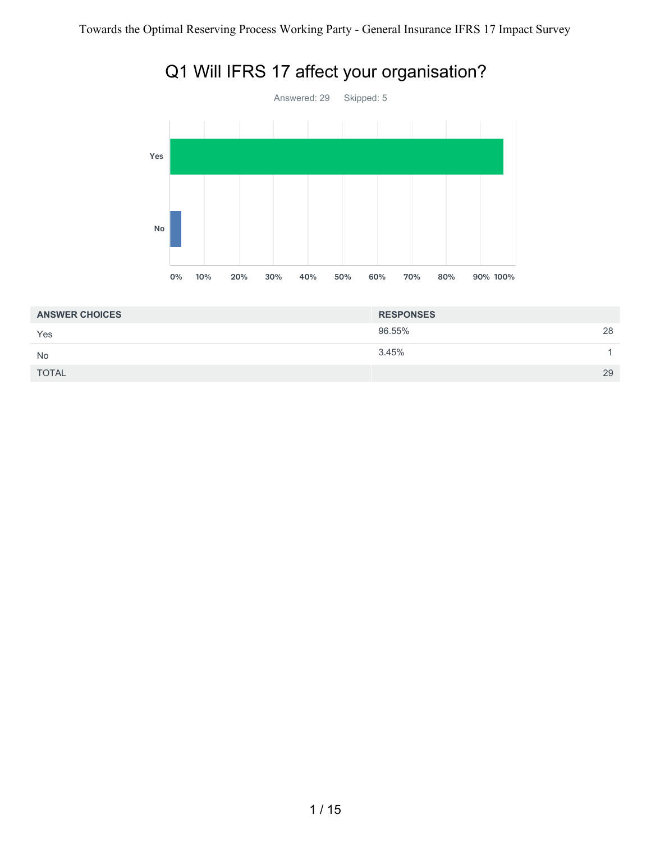

| <b>ANSWER CHOICES</b> | <b>RESPONSES</b> |    |
|-----------------------|------------------|----|
| Yes                   | 96.55%           | 28 |
| <b>No</b>             | 3.45%            |    |
| <b>TOTAL</b>          |                  | 29 |
|                       |                  |    |

# Q1 Will IFRS 17 affect your organisation?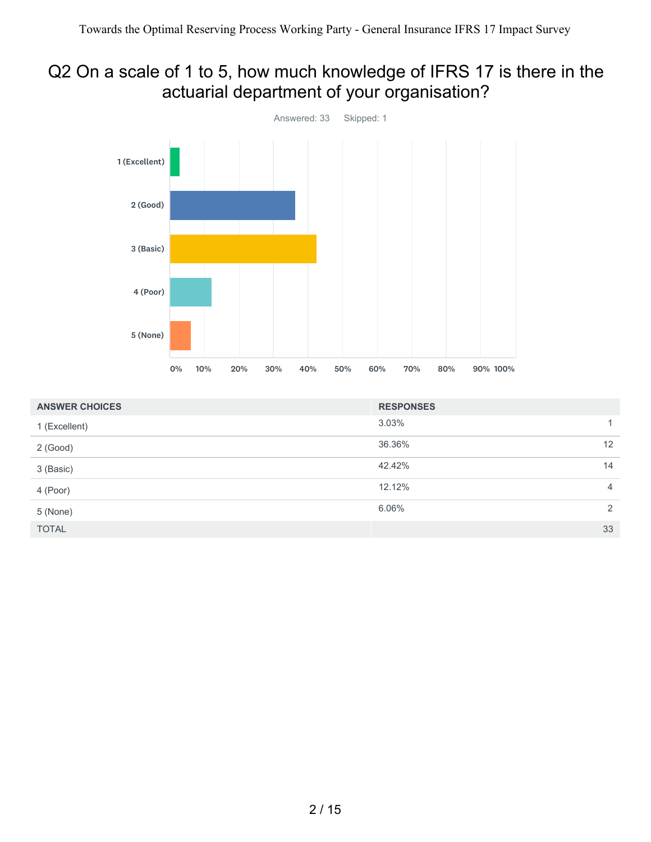# Q2 On a scale of 1 to 5, how much knowledge of IFRS 17 is there in the actuarial department of your organisation?



| <b>ANSWER CHOICES</b> | <b>RESPONSES</b> |                |
|-----------------------|------------------|----------------|
| 1 (Excellent)         | 3.03%            |                |
| $2$ (Good)            | 36.36%           | 12             |
| 3 (Basic)             | 42.42%           | 14             |
| 4 (Poor)              | 12.12%           | $\overline{4}$ |
| 5 (None)              | 6.06%            | 2              |
| <b>TOTAL</b>          |                  | 33             |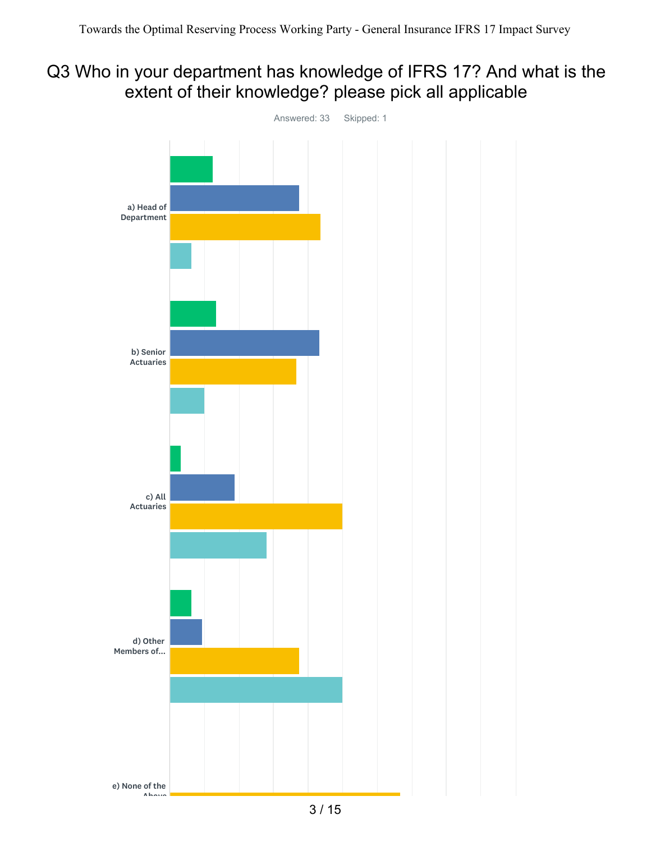#### Q3 Who in your department has knowledge of IFRS 17? And what is the extent of their knowledge? please pick all applicable

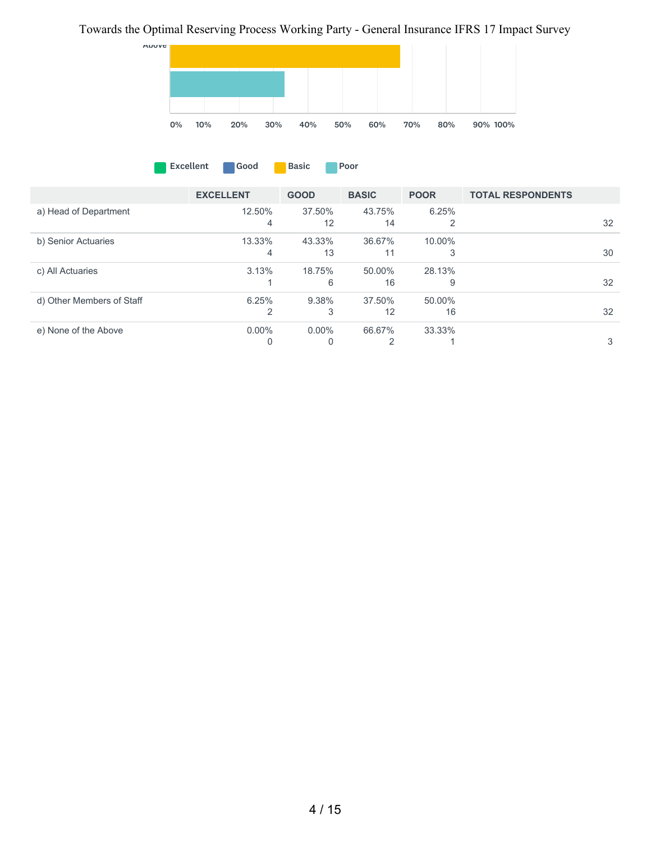#### Towards the Optimal Reserving Process Working Party - General Insurance IFRS 17 Impact Survey



|                       | <b>EXCELLENT</b> | <b>GOOD</b> | <b>BASIC</b> | <b>POOR</b> | <b>TOTAL RESPONDENTS</b> |    |
|-----------------------|------------------|-------------|--------------|-------------|--------------------------|----|
| a) Head of Department | 12.50%           | 37.50%      | 43.75%<br>14 | $6.25\%$    |                          | 32 |

**Excellent** Good Basic **Poor** 

| b) Senior Actuaries       | 13.33%   | 43.33%   | 36.67% | 10.00% |    |
|---------------------------|----------|----------|--------|--------|----|
|                           | 4        | 13       |        |        | 30 |
| c) All Actuaries          | 3.13%    | 18.75%   | 50.00% | 28.13% |    |
|                           |          | 6        | 16     | 9      | 32 |
| d) Other Members of Staff | 6.25%    | 9.38%    | 37.50% | 50.00% |    |
|                           | 2        | 3        | 12     | 16     | 32 |
| e) None of the Above      | $0.00\%$ | $0.00\%$ | 66.67% | 33.33% |    |
|                           | 0        | 0        | ◠      |        | 3  |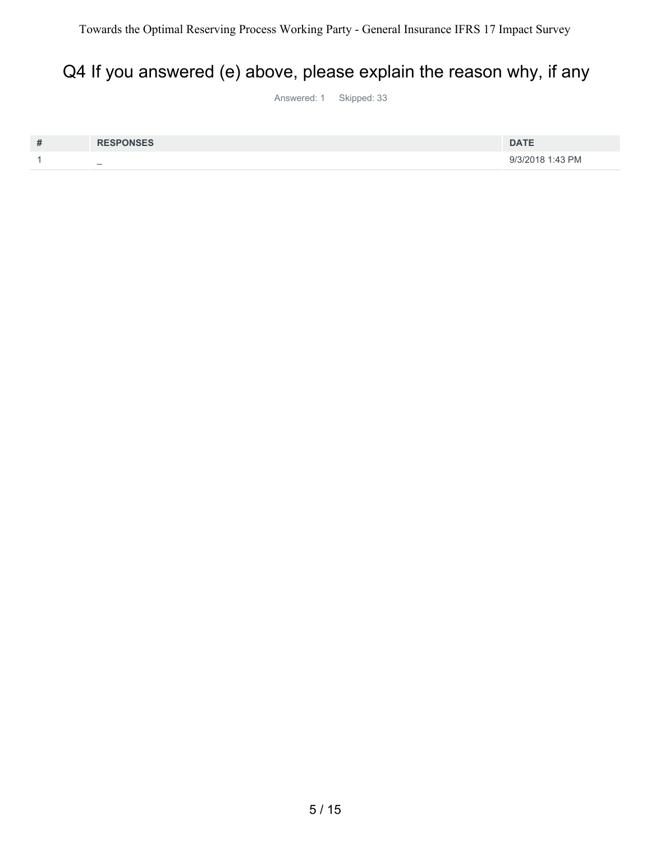# Q4 If you answered (e) above, please explain the reason why, if any

Answered: 1 Skipped: 33

| # | <b>RESPONSES</b>         | <b>DATE</b>      |
|---|--------------------------|------------------|
|   | $\overline{\phantom{0}}$ | 9/3/2018 1:43 PM |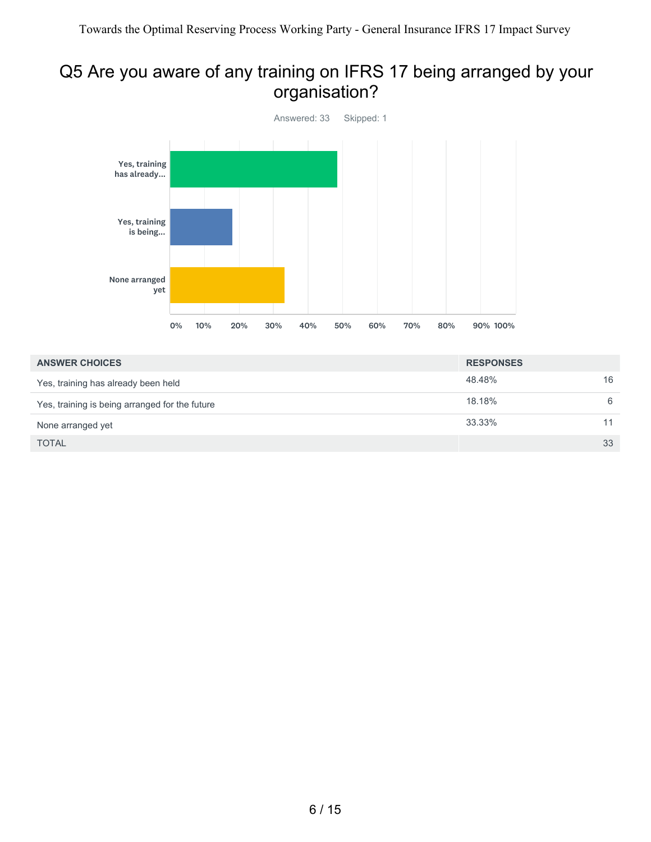# Q5 Are you aware of any training on IFRS 17 being arranged by your organisation?



| <b>ANSWER CHOICES</b>                          | <b>RESPONSES</b> |    |
|------------------------------------------------|------------------|----|
| Yes, training has already been held            | 48.48%           | 16 |
| Yes, training is being arranged for the future | 18.18%           | 6  |
| None arranged yet                              | 33.33%           |    |
| <b>TOTAL</b>                                   |                  | 33 |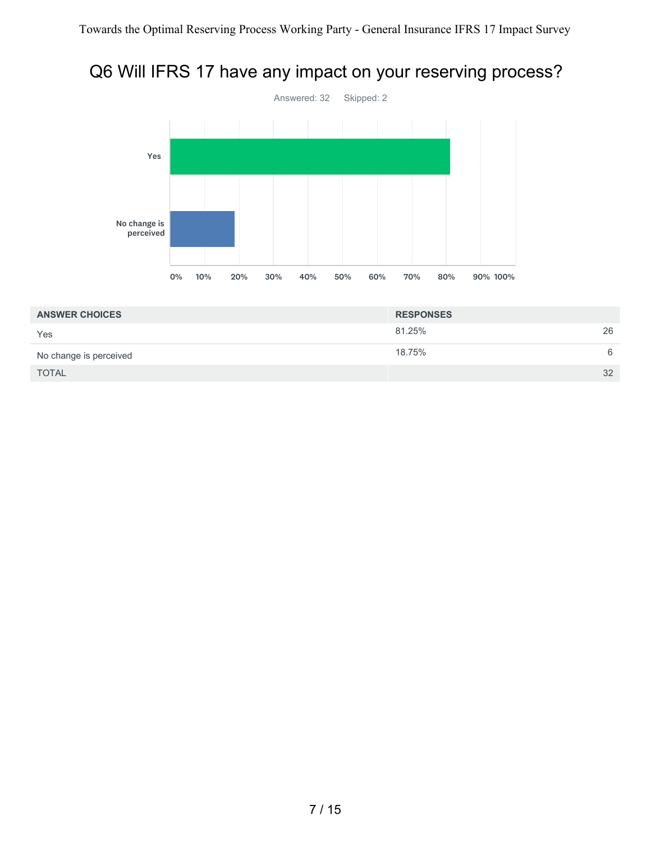# Q6 Will IFRS 17 have any impact on your reserving process?



| <b>ANSWER CHOICES</b>  | <b>RESPONSES</b> |    |
|------------------------|------------------|----|
| Yes                    | 81.25%           | 26 |
| No change is perceived | 18.75%           | 6  |
| <b>TOTAL</b>           |                  | 32 |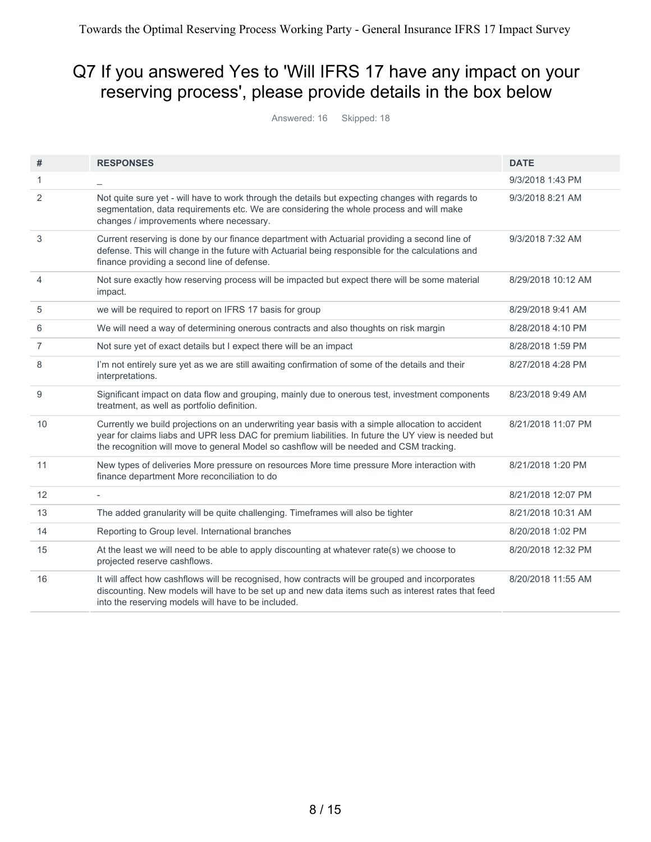# Q7 If you answered Yes to 'Will IFRS 17 have any impact on your reserving process', please provide details in the box below

Answered: 16 Skipped: 18

| #              | <b>RESPONSES</b>                                                                                                                                                                                                                                                                                    | <b>DATE</b>        |
|----------------|-----------------------------------------------------------------------------------------------------------------------------------------------------------------------------------------------------------------------------------------------------------------------------------------------------|--------------------|
| 1              |                                                                                                                                                                                                                                                                                                     | 9/3/2018 1:43 PM   |
| 2              | Not quite sure yet - will have to work through the details but expecting changes with regards to<br>segmentation, data requirements etc. We are considering the whole process and will make<br>changes / improvements where necessary.                                                              | 9/3/2018 8:21 AM   |
| 3              | Current reserving is done by our finance department with Actuarial providing a second line of<br>defense. This will change in the future with Actuarial being responsible for the calculations and<br>finance providing a second line of defense.                                                   | 9/3/2018 7:32 AM   |
| $\overline{4}$ | Not sure exactly how reserving process will be impacted but expect there will be some material<br>impact.                                                                                                                                                                                           | 8/29/2018 10:12 AM |
| 5              | we will be required to report on IFRS 17 basis for group                                                                                                                                                                                                                                            | 8/29/2018 9:41 AM  |
| 6              | We will need a way of determining onerous contracts and also thoughts on risk margin                                                                                                                                                                                                                | 8/28/2018 4:10 PM  |
| $\overline{7}$ | Not sure yet of exact details but I expect there will be an impact                                                                                                                                                                                                                                  | 8/28/2018 1:59 PM  |
| 8              | I'm not entirely sure yet as we are still awaiting confirmation of some of the details and their<br>interpretations.                                                                                                                                                                                | 8/27/2018 4:28 PM  |
| 9              | Significant impact on data flow and grouping, mainly due to onerous test, investment components<br>treatment, as well as portfolio definition.                                                                                                                                                      | 8/23/2018 9:49 AM  |
| 10             | Currently we build projections on an underwriting year basis with a simple allocation to accident<br>year for claims liabs and UPR less DAC for premium liabilities. In future the UY view is needed but<br>the recognition will move to general Model so cashflow will be needed and CSM tracking. | 8/21/2018 11:07 PM |
| 11             | New types of deliveries More pressure on resources More time pressure More interaction with<br>finance department More reconciliation to do                                                                                                                                                         | 8/21/2018 1:20 PM  |
| 12             |                                                                                                                                                                                                                                                                                                     | 8/21/2018 12:07 PM |
| 13             | The added granularity will be quite challenging. Timeframes will also be tighter                                                                                                                                                                                                                    | 8/21/2018 10:31 AM |
| 14             | Reporting to Group level. International branches                                                                                                                                                                                                                                                    | 8/20/2018 1:02 PM  |
| 15             | At the least we will need to be able to apply discounting at whatever rate(s) we choose to<br>projected reserve cashflows.                                                                                                                                                                          | 8/20/2018 12:32 PM |
| 16             | It will affect how cashflows will be recognised, how contracts will be grouped and incorporates<br>discounting. New models will have to be set up and new data items such as interest rates that feed<br>into the reserving models will have to be included.                                        | 8/20/2018 11:55 AM |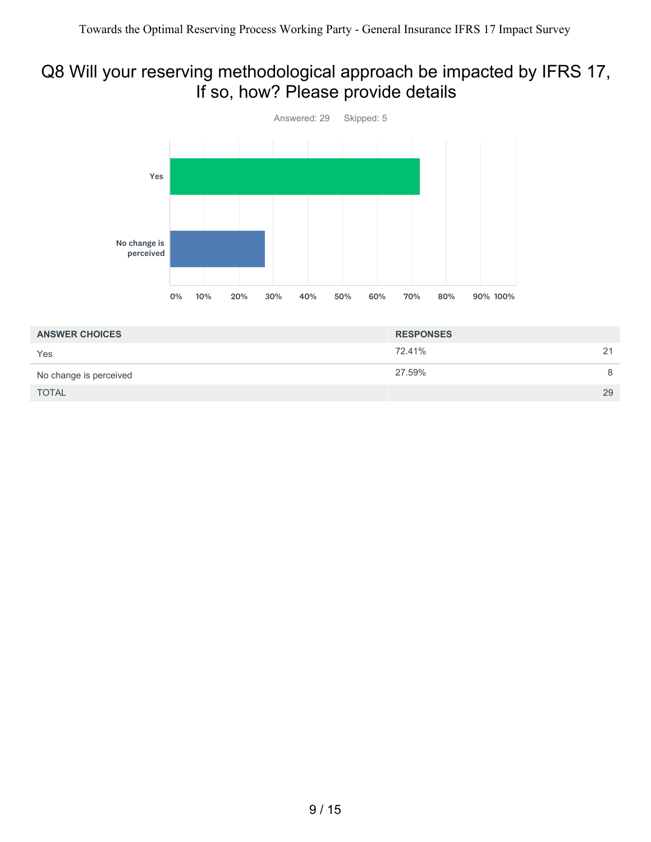# Q8 Will your reserving methodological approach be impacted by IFRS 17, If so, how? Please provide details



| <b>ANSWER CHOICES</b>  | <b>RESPONSES</b> |    |
|------------------------|------------------|----|
| Yes                    | 72.41%           | 21 |
| No change is perceived | 27.59%           | 8  |
| <b>TOTAL</b>           |                  | 29 |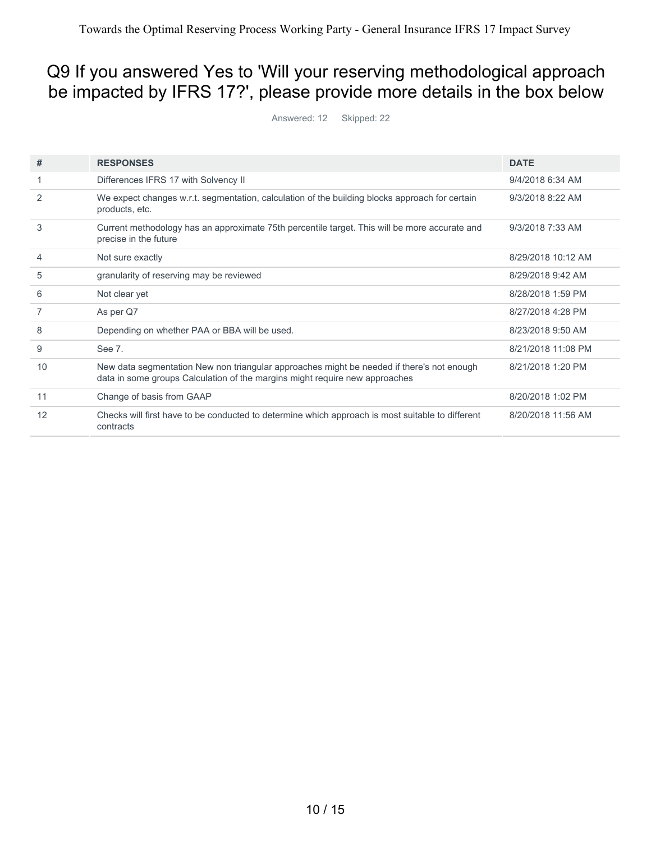# Q9 If you answered Yes to 'Will your reserving methodological approach be impacted by IFRS 17?', please provide more details in the box below

Answered: 12 Skipped: 22

| #  | <b>RESPONSES</b>                                                                                                                                                         | <b>DATE</b>        |
|----|--------------------------------------------------------------------------------------------------------------------------------------------------------------------------|--------------------|
|    | Differences IFRS 17 with Solvency II                                                                                                                                     | 9/4/2018 6:34 AM   |
| 2  | We expect changes w.r.t. segmentation, calculation of the building blocks approach for certain<br>products, etc.                                                         | 9/3/2018 8:22 AM   |
| 3  | Current methodology has an approximate 75th percentile target. This will be more accurate and<br>precise in the future                                                   | 9/3/2018 7:33 AM   |
| 4  | Not sure exactly                                                                                                                                                         | 8/29/2018 10:12 AM |
| 5  | granularity of reserving may be reviewed                                                                                                                                 | 8/29/2018 9:42 AM  |
| 6  | Not clear yet                                                                                                                                                            | 8/28/2018 1:59 PM  |
|    | As per Q7                                                                                                                                                                | 8/27/2018 4:28 PM  |
| 8  | Depending on whether PAA or BBA will be used.                                                                                                                            | 8/23/2018 9:50 AM  |
| 9  | See 7.                                                                                                                                                                   | 8/21/2018 11:08 PM |
| 10 | New data segmentation New non triangular approaches might be needed if there's not enough<br>data in some groups Calculation of the margins might require new approaches | 8/21/2018 1:20 PM  |
| 11 | Change of basis from GAAP                                                                                                                                                | 8/20/2018 1:02 PM  |
| 12 | Checks will first have to be conducted to determine which approach is most suitable to different<br>contracts                                                            | 8/20/2018 11:56 AM |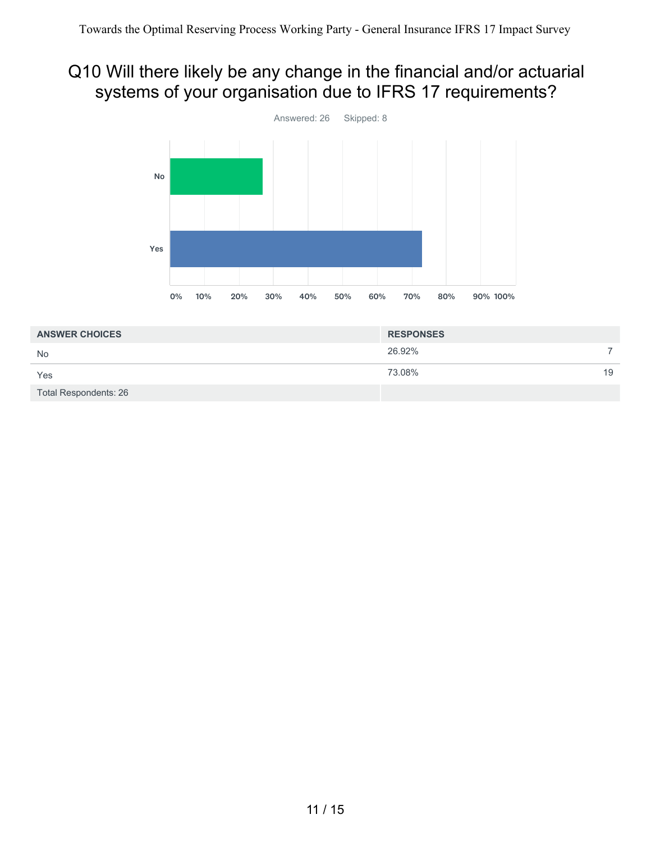# Q10 Will there likely be any change in the financial and/or actuarial systems of your organisation due to IFRS 17 requirements?



| <b>ANSWER CHOICES</b> | <b>RESPONSES</b> |    |
|-----------------------|------------------|----|
| <b>No</b>             | 26.92%           |    |
| Yes                   | 73.08%           | 19 |
| Total Respondents: 26 |                  |    |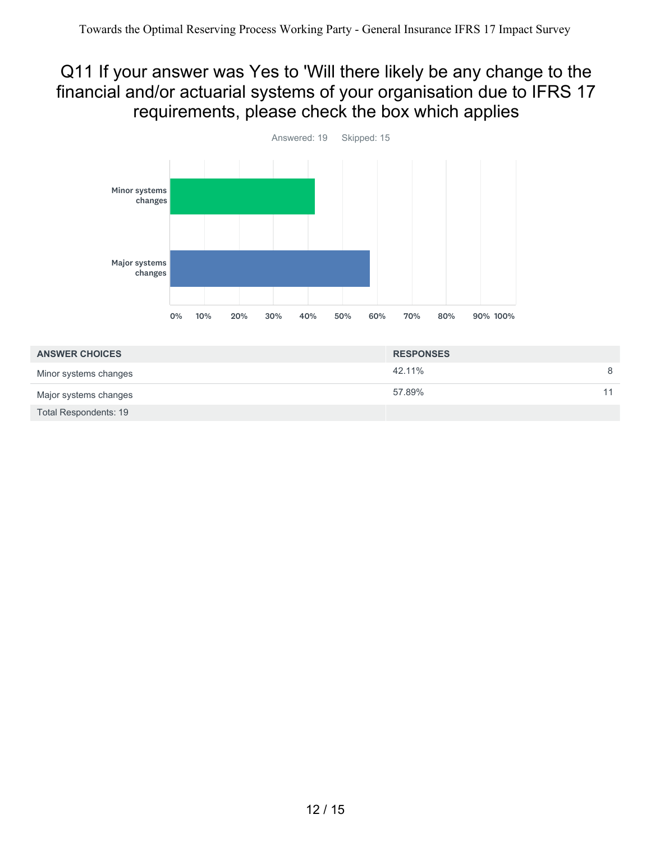## Q11 If your answer was Yes to 'Will there likely be any change to the financial and/or actuarial systems of your organisation due to IFRS 17 requirements, please check the box which applies



| <b>ANSWER CHOICES</b>        | <b>RESPONSES</b> |    |
|------------------------------|------------------|----|
| Minor systems changes        | 42.11%           | 8  |
| Major systems changes        | 57.89%           | 11 |
| <b>Total Respondents: 19</b> |                  |    |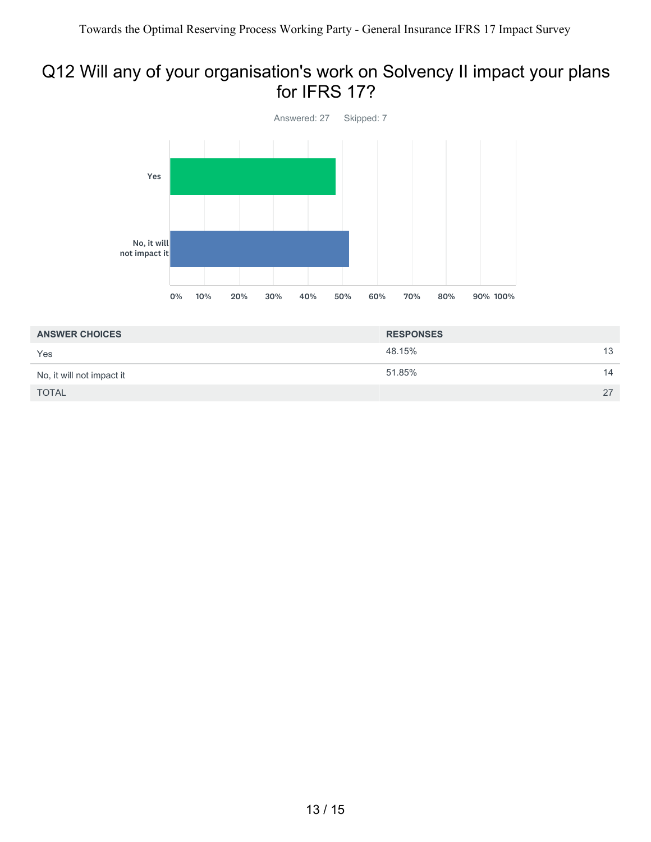#### Q12 Will any of your organisation's work on Solvency II impact your plans for IFRS 17?



| <b>ANSWER CHOICES</b>     | <b>RESPONSES</b> |                 |
|---------------------------|------------------|-----------------|
| Yes                       | 48.15%           | 13 <sup>2</sup> |
| No, it will not impact it | 51.85%           | 14              |
| <b>TOTAL</b>              |                  | 27              |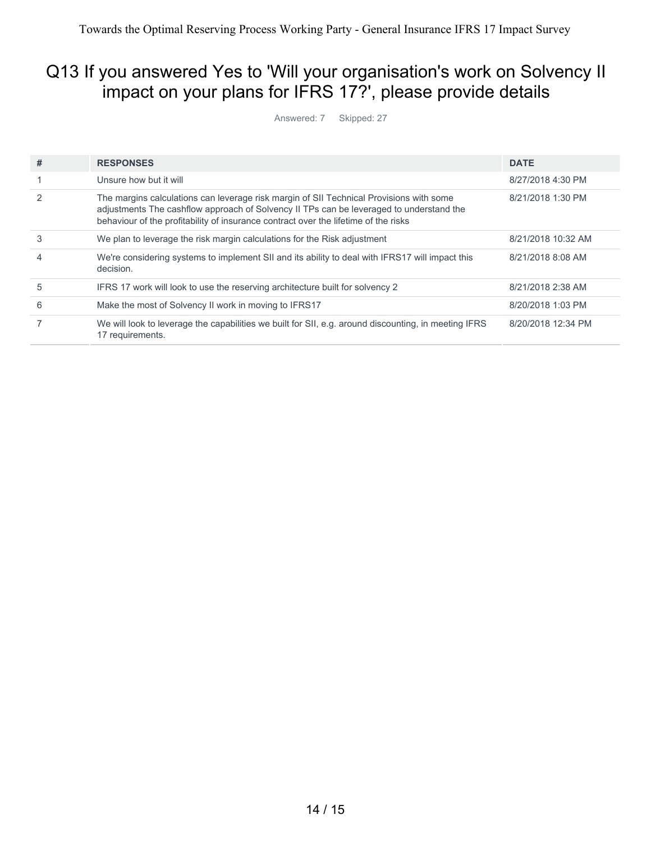# Q13 If you answered Yes to 'Will your organisation's work on Solvency II impact on your plans for IFRS 17?', please provide details

Answered: 7 Skipped: 27

| # | <b>RESPONSES</b>                                                                                                                                                                                                                                                          | <b>DATE</b>        |
|---|---------------------------------------------------------------------------------------------------------------------------------------------------------------------------------------------------------------------------------------------------------------------------|--------------------|
|   | Unsure how but it will                                                                                                                                                                                                                                                    | 8/27/2018 4:30 PM  |
|   | The margins calculations can leverage risk margin of SII Technical Provisions with some<br>adjustments The cashflow approach of Solvency II TPs can be leveraged to understand the<br>behaviour of the profitability of insurance contract over the lifetime of the risks | 8/21/2018 1:30 PM  |
| 3 | We plan to leverage the risk margin calculations for the Risk adjustment                                                                                                                                                                                                  | 8/21/2018 10:32 AM |
| 4 | We're considering systems to implement SII and its ability to deal with IFRS17 will impact this<br>decision.                                                                                                                                                              | 8/21/2018 8:08 AM  |
| 5 | IFRS 17 work will look to use the reserving architecture built for solvency 2                                                                                                                                                                                             | 8/21/2018 2:38 AM  |
| 6 | Make the most of Solvency II work in moving to IFRS17                                                                                                                                                                                                                     | 8/20/2018 1:03 PM  |
|   | We will look to leverage the capabilities we built for SII, e.g. around discounting, in meeting IFRS<br>17 requirements.                                                                                                                                                  | 8/20/2018 12:34 PM |